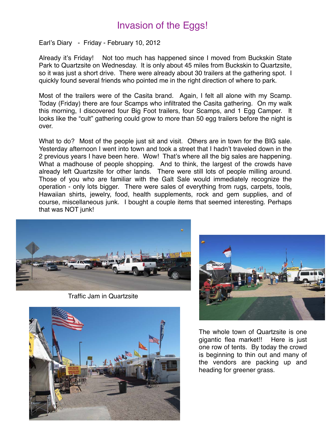## Invasion of the Eggs!

Earl's Diary - Friday - February 10, 2012

Already it's Friday! Not too much has happened since I moved from Buckskin State Park to Quartzsite on Wednesday. It is only about 45 miles from Buckskin to Quartzsite, so it was just a short drive. There were already about 30 trailers at the gathering spot. I quickly found several friends who pointed me in the right direction of where to park.

Most of the trailers were of the Casita brand. Again, I felt all alone with my Scamp. Today (Friday) there are four Scamps who infiltrated the Casita gathering. On my walk this morning, I discovered four Big Foot trailers, four Scamps, and 1 Egg Camper. It looks like the "cult" gathering could grow to more than 50 egg trailers before the night is over.

What to do? Most of the people just sit and visit. Others are in town for the BIG sale. Yesterday afternoon I went into town and took a street that I hadn't traveled down in the 2 previous years I have been here. Wow! That's where all the big sales are happening. What a madhouse of people shopping. And to think, the largest of the crowds have already left Quartzsite for other lands. There were still lots of people milling around. Those of you who are familiar with the Galt Sale would immediately recognize the operation - only lots bigger. There were sales of everything from rugs, carpets, tools, Hawaiian shirts, jewelry, food, health supplements, rock and gem supplies, and of course, miscellaneous junk. I bought a couple items that seemed interesting. Perhaps that was NOT junk!



Traffic Jam in Quartzsite





The whole town of Quartzsite is one gigantic flea market!! Here is just one row of tents. By today the crowd is beginning to thin out and many of the vendors are packing up and heading for greener grass.